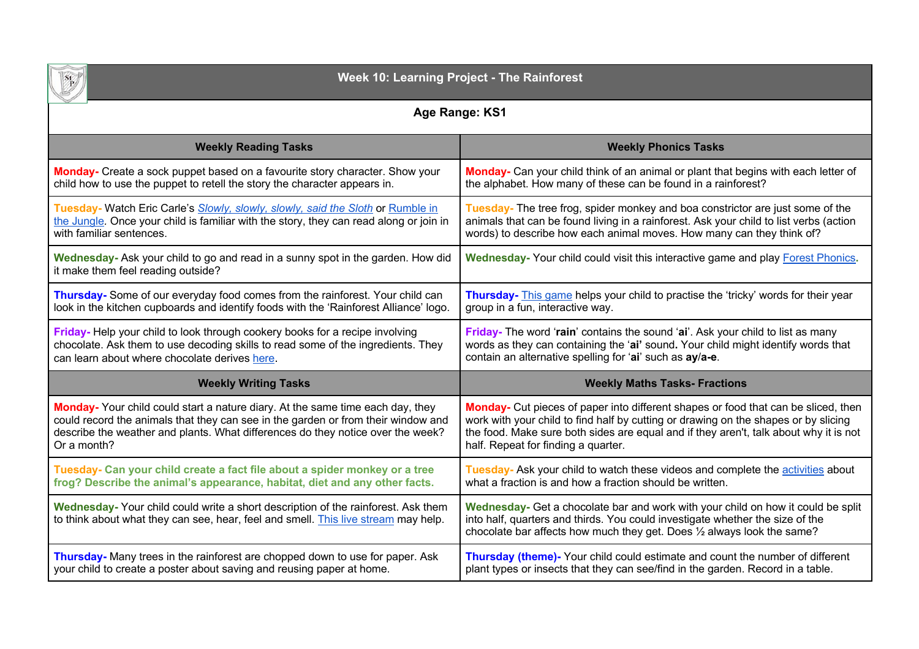

# **Week 10: Learning Project - The Rainforest**

# **Age Range: KS1**

| <b>Weekly Reading Tasks</b>                                                                                                                                             | <b>Weekly Phonics Tasks</b>                                                                                                                                                                                                                  |
|-------------------------------------------------------------------------------------------------------------------------------------------------------------------------|----------------------------------------------------------------------------------------------------------------------------------------------------------------------------------------------------------------------------------------------|
| <b>Monday-</b> Create a sock puppet based on a favourite story character. Show your                                                                                     | Monday- Can your child think of an animal or plant that begins with each letter of                                                                                                                                                           |
| child how to use the puppet to retell the story the character appears in.                                                                                               | the alphabet. How many of these can be found in a rainforest?                                                                                                                                                                                |
| Tuesday- Watch Eric Carle's Slowly, slowly, slowly, said the Sloth or Rumble in                                                                                         | Tuesday- The tree frog, spider monkey and boa constrictor are just some of the                                                                                                                                                               |
| the Jungle. Once your child is familiar with the story, they can read along or join in                                                                                  | animals that can be found living in a rainforest. Ask your child to list verbs (action                                                                                                                                                       |
| with familiar sentences.                                                                                                                                                | words) to describe how each animal moves. How many can they think of?                                                                                                                                                                        |
| Wednesday- Ask your child to go and read in a sunny spot in the garden. How did<br>it make them feel reading outside?                                                   | Wednesday- Your child could visit this interactive game and play Forest Phonics.                                                                                                                                                             |
| Thursday- Some of our everyday food comes from the rainforest. Your child can                                                                                           | Thursday- This game helps your child to practise the 'tricky' words for their year                                                                                                                                                           |
| look in the kitchen cupboards and identify foods with the 'Rainforest Alliance' logo.                                                                                   | group in a fun, interactive way.                                                                                                                                                                                                             |
| Friday-Help your child to look through cookery books for a recipe involving                                                                                             | Friday- The word 'rain' contains the sound 'ai'. Ask your child to list as many                                                                                                                                                              |
| chocolate. Ask them to use decoding skills to read some of the ingredients. They                                                                                        | words as they can containing the 'ai' sound. Your child might identify words that                                                                                                                                                            |
| can learn about where chocolate derives here.                                                                                                                           | contain an alternative spelling for 'ai' such as ay/a-e.                                                                                                                                                                                     |
| <b>Weekly Writing Tasks</b>                                                                                                                                             | <b>Weekly Maths Tasks- Fractions</b>                                                                                                                                                                                                         |
| <b>Monday-</b> Your child could start a nature diary. At the same time each day, they                                                                                   | Monday- Cut pieces of paper into different shapes or food that can be sliced, then                                                                                                                                                           |
| could record the animals that they can see in the garden or from their window and                                                                                       | work with your child to find half by cutting or drawing on the shapes or by slicing                                                                                                                                                          |
| describe the weather and plants. What differences do they notice over the week?                                                                                         | the food. Make sure both sides are equal and if they aren't, talk about why it is not                                                                                                                                                        |
| Or a month?                                                                                                                                                             | half. Repeat for finding a quarter.                                                                                                                                                                                                          |
| Tuesday- Can your child create a fact file about a spider monkey or a tree                                                                                              | Tuesday- Ask your child to watch these videos and complete the activities about                                                                                                                                                              |
| frog? Describe the animal's appearance, habitat, diet and any other facts.                                                                                              | what a fraction is and how a fraction should be written.                                                                                                                                                                                     |
| Wednesday- Your child could write a short description of the rainforest. Ask them<br>to think about what they can see, hear, feel and smell. This live stream may help. | Wednesday- Get a chocolate bar and work with your child on how it could be split<br>into half, quarters and thirds. You could investigate whether the size of the<br>chocolate bar affects how much they get. Does 1/2 always look the same? |
| Thursday- Many trees in the rainforest are chopped down to use for paper. Ask                                                                                           | Thursday (theme)- Your child could estimate and count the number of different                                                                                                                                                                |
| your child to create a poster about saving and reusing paper at home.                                                                                                   | plant types or insects that they can see/find in the garden. Record in a table.                                                                                                                                                              |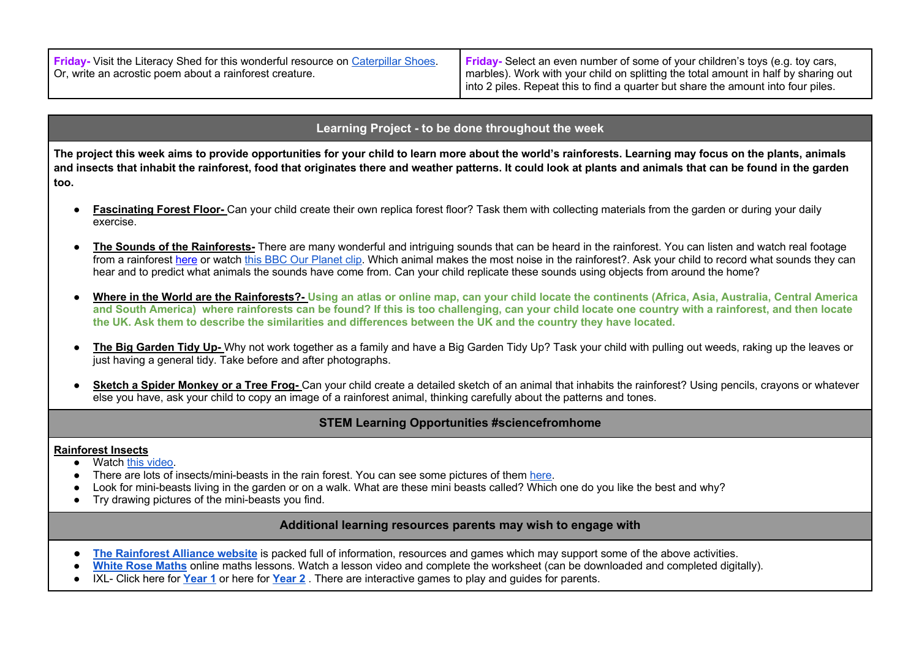| <b>Friday-</b> Visit the Literacy Shed for this wonderful resource on Caterpillar Shoes. | <b>Friday-</b> Select an even number of some of your children's toys (e.g. toy cars, |
|------------------------------------------------------------------------------------------|--------------------------------------------------------------------------------------|
| 'Or, write an acrostic poem about a rainforest creature.                                 | marbles). Work with your child on splitting the total amount in half by sharing out  |
|                                                                                          | I into 2 piles. Repeat this to find a quarter but share the amount into four piles.  |

## **Learning Project - to be done throughout the week**

**The project this week aims to provide opportunities for your child to learn more about the world's rainforests. Learning may focus on the plants, animals and insects that inhabit the rainforest, food that originates there and weather patterns. It could look at plants and animals that can be found in the garden too.**

- **Fascinating Forest Floor-** Can your child create their own replica forest floor? Task them with collecting materials from the garden or during your daily exercise.
- **The Sounds of the Rainforests-** There are many wonderful and intriguing sounds that can be heard in the rainforest. You can listen and watch real footage from a rainforest here or watch this BBC Our Planet clip. Which animal makes the most noise in the rainforest?. Ask your child to record what sounds they can hear and to predict what animals the sounds have come from. Can your child replicate these sounds using objects from around the home?
- **Where in the World are the Rainforests?- Using an atlas or online map, can your child locate the continents (Africa, Asia, Australia, Central America and South America) where rainforests can be found? If this is too challenging, can your child locate one country with a rainforest, and then locate the UK. Ask them to describe the similarities and differences between the UK and the country they have located.**
- The Big Garden Tidy Up- Why not work together as a family and have a Big Garden Tidy Up? Task your child with pulling out weeds, raking up the leaves or just having a general tidy. Take before and after photographs.
- **Sketch a Spider Monkey or a Tree Frog-** Can your child create a detailed sketch of an animal that inhabits the rainforest? Using pencils, crayons or whatever else you have, ask your child to copy an image of a rainforest animal, thinking carefully about the patterns and tones.

## **STEM Learning Opportunities #sciencefromhome**

### **Rainforest Insects**

- Watch this video.
- There are lots of insects/mini-beasts in the rain forest. You can see some pictures of them here.
- Look for mini-beasts living in the garden or on a walk. What are these mini beasts called? Which one do you like the best and why?
- Try drawing pictures of the mini-beasts you find.

## **Additional learning resources parents may wish to engage with**

- The Rainforest Alliance website is packed full of information, resources and games which may support some of the above activities.
- White Rose Maths online maths lessons. Watch a lesson video and complete the worksheet (can be downloaded and completed digitally).
- IXL- Click here for **Year 1** or here for **Year 2** . There are interactive games to play and guides for parents.